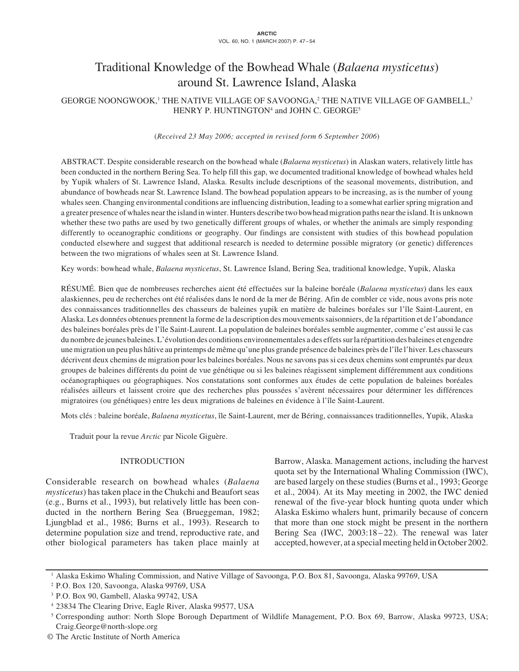# Traditional Knowledge of the Bowhead Whale (*Balaena mysticetus*) around St. Lawrence Island, Alaska

GEORGE NOONGWOOK,<sup>1</sup> THE NATIVE VILLAGE OF SAVOONGA,<sup>2</sup> THE NATIVE VILLAGE OF GAMBELL,<sup>3</sup> HENRY P. HUNTINGTON4 and JOHN C. GEORGE5

(*Received 23 May 2006; accepted in revised form 6 September 2006*)

ABSTRACT. Despite considerable research on the bowhead whale (*Balaena mysticetus*) in Alaskan waters, relatively little has been conducted in the northern Bering Sea. To help fill this gap, we documented traditional knowledge of bowhead whales held by Yupik whalers of St. Lawrence Island, Alaska. Results include descriptions of the seasonal movements, distribution, and abundance of bowheads near St. Lawrence Island. The bowhead population appears to be increasing, as is the number of young whales seen. Changing environmental conditions are influencing distribution, leading to a somewhat earlier spring migration and a greater presence of whales near the island in winter. Hunters describe two bowhead migration paths near the island. It is unknown whether these two paths are used by two genetically different groups of whales, or whether the animals are simply responding differently to oceanographic conditions or geography. Our findings are consistent with studies of this bowhead population conducted elsewhere and suggest that additional research is needed to determine possible migratory (or genetic) differences between the two migrations of whales seen at St. Lawrence Island.

Key words: bowhead whale, *Balaena mysticetus*, St. Lawrence Island, Bering Sea, traditional knowledge, Yupik, Alaska

RÉSUMÉ. Bien que de nombreuses recherches aient été effectuées sur la baleine boréale (*Balaena mysticetus*) dans les eaux alaskiennes, peu de recherches ont été réalisées dans le nord de la mer de Béring. Afin de combler ce vide, nous avons pris note des connaissances traditionnelles des chasseurs de baleines yupik en matière de baleines boréales sur l'île Saint-Laurent, en Alaska. Les données obtenues prennent la forme de la description des mouvements saisonniers, de la répartition et de l'abondance des baleines boréales près de l'île Saint-Laurent. La population de baleines boréales semble augmenter, comme c'est aussi le cas du nombre de jeunes baleines. L'évolution des conditions environnementales a des effets sur la répartition des baleines et engendre une migration un peu plus hâtive au printemps de même qu'une plus grande présence de baleines près de l'île l'hiver. Les chasseurs décrivent deux chemins de migration pour les baleines boréales. Nous ne savons pas si ces deux chemins sont empruntés par deux groupes de baleines différents du point de vue génétique ou si les baleines réagissent simplement différemment aux conditions océanographiques ou géographiques. Nos constatations sont conformes aux études de cette population de baleines boréales réalisées ailleurs et laissent croire que des recherches plus poussées s'avèrent nécessaires pour déterminer les différences migratoires (ou génétiques) entre les deux migrations de baleines en évidence à l'île Saint-Laurent.

Mots clés : baleine boréale, *Balaena mysticetus*, île Saint-Laurent, mer de Béring, connaissances traditionnelles, Yupik, Alaska

Traduit pour la revue *Arctic* par Nicole Giguère.

# INTRODUCTION

Considerable research on bowhead whales (*Balaena mysticetus*) has taken place in the Chukchi and Beaufort seas (e.g., Burns et al., 1993), but relatively little has been conducted in the northern Bering Sea (Brueggeman, 1982; Ljungblad et al., 1986; Burns et al., 1993). Research to determine population size and trend, reproductive rate, and other biological parameters has taken place mainly at Barrow, Alaska. Management actions, including the harvest quota set by the International Whaling Commission (IWC), are based largely on these studies (Burns et al., 1993; George et al., 2004). At its May meeting in 2002, the IWC denied renewal of the five-year block hunting quota under which Alaska Eskimo whalers hunt, primarily because of concern that more than one stock might be present in the northern Bering Sea (IWC, 2003:18–22). The renewal was later accepted, however, at a special meeting held in October 2002.

<sup>1</sup> Alaska Eskimo Whaling Commission, and Native Village of Savoonga, P.O. Box 81, Savoonga, Alaska 99769, USA

<sup>2</sup> P.O. Box 120, Savoonga, Alaska 99769, USA

<sup>3</sup> P.O. Box 90, Gambell, Alaska 99742, USA

<sup>4</sup> 23834 The Clearing Drive, Eagle River, Alaska 99577, USA

<sup>5</sup> Corresponding author: North Slope Borough Department of Wildlife Management, P.O. Box 69, Barrow, Alaska 99723, USA; Craig.George@north-slope.org

<sup>©</sup> The Arctic Institute of North America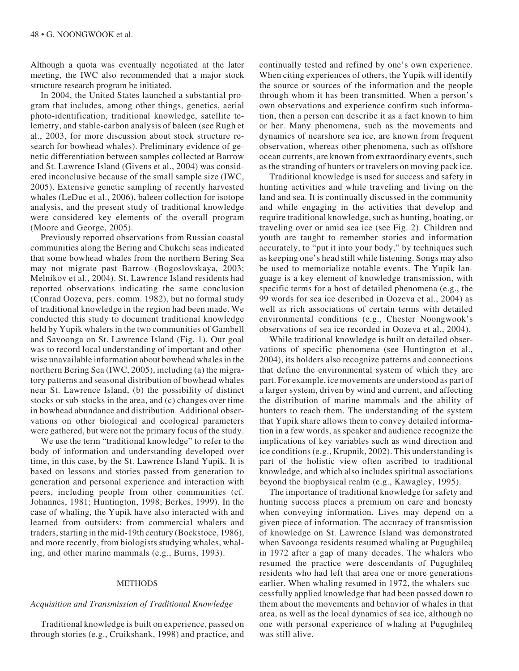Although a quota was eventually negotiated at the later meeting, the IWC also recommended that a major stock structure research program be initiated.

In 2004, the United States launched a substantial program that includes, among other things, genetics, aerial photo-identification, traditional knowledge, satellite telemetry, and stable-carbon analysis of baleen (see Rugh et al., 2003, for more discussion about stock structure research for bowhead whales). Preliminary evidence of genetic differentiation between samples collected at Barrow and St. Lawrence Island (Givens et al., 2004) was considered inconclusive because of the small sample size (IWC, 2005). Extensive genetic sampling of recently harvested whales (LeDuc et al., 2006), baleen collection for isotope analysis, and the present study of traditional knowledge were considered key elements of the overall program (Moore and George, 2005).

Previously reported observations from Russian coastal communities along the Bering and Chukchi seas indicated that some bowhead whales from the northern Bering Sea may not migrate past Barrow (Bogoslovskaya, 2003; Melnikov et al., 2004). St. Lawrence Island residents had reported observations indicating the same conclusion (Conrad Oozeva, pers. comm. 1982), but no formal study of traditional knowledge in the region had been made. We conducted this study to document traditional knowledge held by Yupik whalers in the two communities of Gambell and Savoonga on St. Lawrence Island (Fig. 1). Our goal was to record local understanding of important and otherwise unavailable information about bowhead whales in the northern Bering Sea (IWC, 2005), including (a) the migratory patterns and seasonal distribution of bowhead whales near St. Lawrence Island, (b) the possibility of distinct stocks or sub-stocks in the area, and (c) changes over time in bowhead abundance and distribution. Additional observations on other biological and ecological parameters were gathered, but were not the primary focus of the study.

We use the term "traditional knowledge" to refer to the body of information and understanding developed over time, in this case, by the St. Lawrence Island Yupik. It is based on lessons and stories passed from generation to generation and personal experience and interaction with peers, including people from other communities (cf. Johannes, 1981; Huntington, 1998; Berkes, 1999). In the case of whaling, the Yupik have also interacted with and learned from outsiders: from commercial whalers and traders, starting in the mid-19th century (Bockstoce, 1986), and more recently, from biologists studying whales, whaling, and other marine mammals (e.g., Burns, 1993).

#### METHODS

## *Acquisition and Transmission of Traditional Knowledge*

Traditional knowledge is built on experience, passed on through stories (e.g., Cruikshank, 1998) and practice, and continually tested and refined by one's own experience. When citing experiences of others, the Yupik will identify the source or sources of the information and the people through whom it has been transmitted. When a person's own observations and experience confirm such information, then a person can describe it as a fact known to him or her. Many phenomena, such as the movements and dynamics of nearshore sea ice, are known from frequent observation, whereas other phenomena, such as offshore ocean currents, are known from extraordinary events, such as the stranding of hunters or travelers on moving pack ice.

Traditional knowledge is used for success and safety in hunting activities and while traveling and living on the land and sea. It is continually discussed in the community and while engaging in the activities that develop and require traditional knowledge, such as hunting, boating, or traveling over or amid sea ice (see Fig. 2). Children and youth are taught to remember stories and information accurately, to "put it into your body," by techniques such as keeping one's head still while listening. Songs may also be used to memorialize notable events. The Yupik language is a key element of knowledge transmission, with specific terms for a host of detailed phenomena (e.g., the 99 words for sea ice described in Oozeva et al., 2004) as well as rich associations of certain terms with detailed environmental conditions (e.g., Chester Noongwook's observations of sea ice recorded in Oozeva et al., 2004).

While traditional knowledge is built on detailed observations of specific phenomena (see Huntington et al., 2004), its holders also recognize patterns and connections that define the environmental system of which they are part. For example, ice movements are understood as part of a larger system, driven by wind and current, and affecting the distribution of marine mammals and the ability of hunters to reach them. The understanding of the system that Yupik share allows them to convey detailed information in a few words, as speaker and audience recognize the implications of key variables such as wind direction and ice conditions (e.g., Krupnik, 2002). This understanding is part of the holistic view often ascribed to traditional knowledge, and which also includes spiritual associations beyond the biophysical realm (e.g., Kawagley, 1995).

The importance of traditional knowledge for safety and hunting success places a premium on care and honesty when conveying information. Lives may depend on a given piece of information. The accuracy of transmission of knowledge on St. Lawrence Island was demonstrated when Savoonga residents resumed whaling at Pugughileq in 1972 after a gap of many decades. The whalers who resumed the practice were descendants of Pugughileq residents who had left that area one or more generations earlier. When whaling resumed in 1972, the whalers successfully applied knowledge that had been passed down to them about the movements and behavior of whales in that area, as well as the local dynamics of sea ice, although no one with personal experience of whaling at Pugughileq was still alive.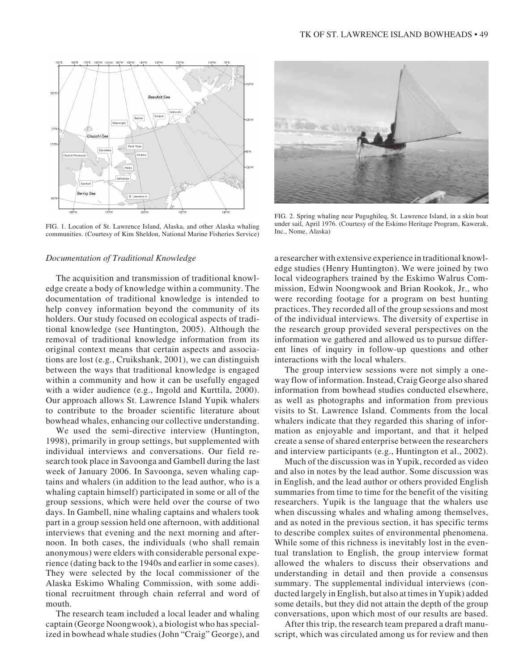

FIG. 1. Location of St. Lawrence Island, Alaska, and other Alaska whaling under sail, April 197<br>communities (Courtesy of Vim Shaldon, National Merine Figheries Service) Inc., Nome, Alaska) communities. (Courtesy of Kim Sheldon, National Marine Fisheries Service)

#### *Documentation of Traditional Knowledge*

The acquisition and transmission of traditional knowledge create a body of knowledge within a community. The documentation of traditional knowledge is intended to help convey information beyond the community of its holders. Our study focused on ecological aspects of traditional knowledge (see Huntington, 2005). Although the removal of traditional knowledge information from its original context means that certain aspects and associations are lost (e.g., Cruikshank, 2001), we can distinguish between the ways that traditional knowledge is engaged within a community and how it can be usefully engaged with a wider audience (e.g., Ingold and Kurttila, 2000). Our approach allows St. Lawrence Island Yupik whalers to contribute to the broader scientific literature about bowhead whales, enhancing our collective understanding.

We used the semi-directive interview (Huntington, 1998), primarily in group settings, but supplemented with individual interviews and conversations. Our field research took place in Savoonga and Gambell during the last week of January 2006. In Savoonga, seven whaling captains and whalers (in addition to the lead author, who is a whaling captain himself) participated in some or all of the group sessions, which were held over the course of two days. In Gambell, nine whaling captains and whalers took part in a group session held one afternoon, with additional interviews that evening and the next morning and afternoon. In both cases, the individuals (who shall remain anonymous) were elders with considerable personal experience (dating back to the 1940s and earlier in some cases). They were selected by the local commissioner of the Alaska Eskimo Whaling Commission, with some additional recruitment through chain referral and word of mouth.

The research team included a local leader and whaling captain (George Noongwook), a biologist who has specialized in bowhead whale studies (John "Craig" George), and



FIG. 2. Spring whaling near Pugughileq, St. Lawrence Island, in a skin boat under sail, April 1976. (Courtesy of the Eskimo Heritage Program, Kawerak,

a researcher with extensive experience in traditional knowledge studies (Henry Huntington). We were joined by two local videographers trained by the Eskimo Walrus Commission, Edwin Noongwook and Brian Rookok, Jr., who were recording footage for a program on best hunting practices. They recorded all of the group sessions and most of the individual interviews. The diversity of expertise in the research group provided several perspectives on the information we gathered and allowed us to pursue different lines of inquiry in follow-up questions and other interactions with the local whalers.

The group interview sessions were not simply a oneway flow of information. Instead, Craig George also shared information from bowhead studies conducted elsewhere, as well as photographs and information from previous visits to St. Lawrence Island. Comments from the local whalers indicate that they regarded this sharing of information as enjoyable and important, and that it helped create a sense of shared enterprise between the researchers and interview participants (e.g., Huntington et al., 2002).

Much of the discussion was in Yupik, recorded as video and also in notes by the lead author. Some discussion was in English, and the lead author or others provided English summaries from time to time for the benefit of the visiting researchers. Yupik is the language that the whalers use when discussing whales and whaling among themselves, and as noted in the previous section, it has specific terms to describe complex suites of environmental phenomena. While some of this richness is inevitably lost in the eventual translation to English, the group interview format allowed the whalers to discuss their observations and understanding in detail and then provide a consensus summary. The supplemental individual interviews (conducted largely in English, but also at times in Yupik) added some details, but they did not attain the depth of the group conversations, upon which most of our results are based.

After this trip, the research team prepared a draft manuscript, which was circulated among us for review and then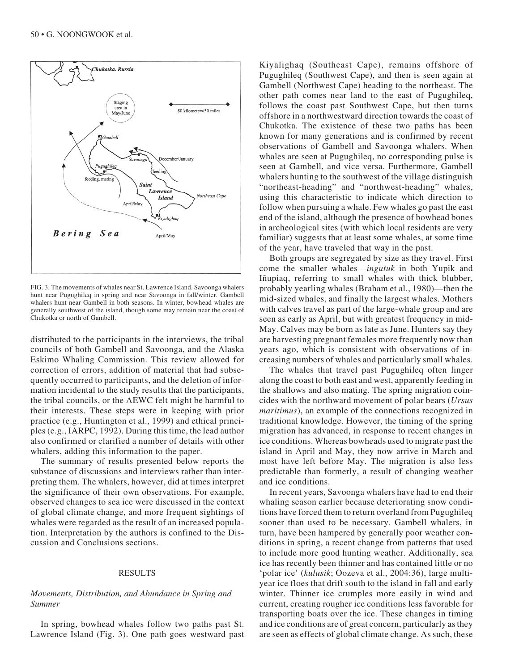

FIG. 3. The movements of whales near St. Lawrence Island. Savoonga whalers hunt near Pugughileq in spring and near Savoonga in fall/winter. Gambell whalers hunt near Gambell in both seasons. In winter, bowhead whales are generally southwest of the island, though some may remain near the coast of Chukotka or north of Gambell.

distributed to the participants in the interviews, the tribal councils of both Gambell and Savoonga, and the Alaska Eskimo Whaling Commission. This review allowed for correction of errors, addition of material that had subsequently occurred to participants, and the deletion of information incidental to the study results that the participants, the tribal councils, or the AEWC felt might be harmful to their interests. These steps were in keeping with prior practice (e.g., Huntington et al., 1999) and ethical principles (e.g., IARPC, 1992). During this time, the lead author also confirmed or clarified a number of details with other whalers, adding this information to the paper.

The summary of results presented below reports the substance of discussions and interviews rather than interpreting them. The whalers, however, did at times interpret the significance of their own observations. For example, observed changes to sea ice were discussed in the context of global climate change, and more frequent sightings of whales were regarded as the result of an increased population. Interpretation by the authors is confined to the Discussion and Conclusions sections.

## RESULTS

# *Movements, Distribution, and Abundance in Spring and Summer*

In spring, bowhead whales follow two paths past St. Lawrence Island (Fig. 3). One path goes westward past Kiyalighaq (Southeast Cape), remains offshore of Pugughileq (Southwest Cape), and then is seen again at Gambell (Northwest Cape) heading to the northeast. The other path comes near land to the east of Pugughileq, follows the coast past Southwest Cape, but then turns offshore in a northwestward direction towards the coast of Chukotka. The existence of these two paths has been known for many generations and is confirmed by recent observations of Gambell and Savoonga whalers. When whales are seen at Pugughileq, no corresponding pulse is seen at Gambell, and vice versa. Furthermore, Gambell whalers hunting to the southwest of the village distinguish "northeast-heading" and "northwest-heading" whales, using this characteristic to indicate which direction to follow when pursuing a whale. Few whales go past the east end of the island, although the presence of bowhead bones in archeological sites (with which local residents are very familiar) suggests that at least some whales, at some time of the year, have traveled that way in the past.

Both groups are segregated by size as they travel. First come the smaller whales—*ingutuk* in both Yupik and Iñupiaq, referring to small whales with thick blubber, probably yearling whales (Braham et al., 1980)—then the mid-sized whales, and finally the largest whales. Mothers with calves travel as part of the large-whale group and are seen as early as April, but with greatest frequency in mid-May. Calves may be born as late as June. Hunters say they are harvesting pregnant females more frequently now than years ago, which is consistent with observations of increasing numbers of whales and particularly small whales.

The whales that travel past Pugughileq often linger along the coast to both east and west, apparently feeding in the shallows and also mating. The spring migration coincides with the northward movement of polar bears (*Ursus maritimus*), an example of the connections recognized in traditional knowledge. However, the timing of the spring migration has advanced, in response to recent changes in ice conditions. Whereas bowheads used to migrate past the island in April and May, they now arrive in March and most have left before May. The migration is also less predictable than formerly, a result of changing weather and ice conditions.

In recent years, Savoonga whalers have had to end their whaling season earlier because deteriorating snow conditions have forced them to return overland from Pugughileq sooner than used to be necessary. Gambell whalers, in turn, have been hampered by generally poor weather conditions in spring, a recent change from patterns that used to include more good hunting weather. Additionally, sea ice has recently been thinner and has contained little or no 'polar ice' (*kulusik*; Oozeva et al., 2004:36), large multiyear ice floes that drift south to the island in fall and early winter. Thinner ice crumples more easily in wind and current, creating rougher ice conditions less favorable for transporting boats over the ice. These changes in timing and ice conditions are of great concern, particularly as they are seen as effects of global climate change. As such, these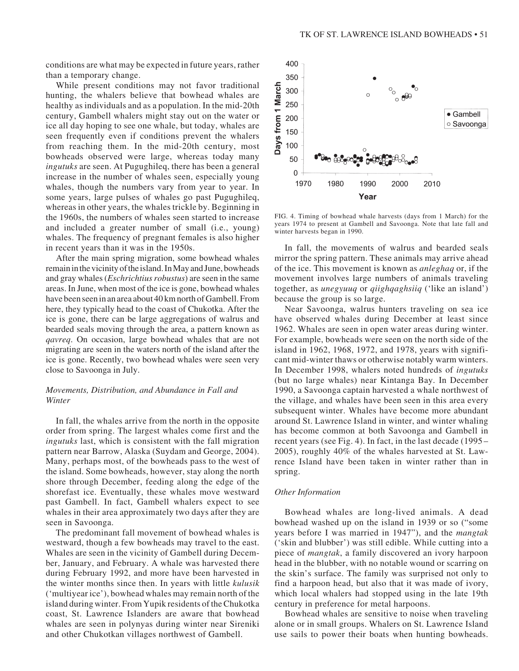conditions are what may be expected in future years, rather than a temporary change.

While present conditions may not favor traditional hunting, the whalers believe that bowhead whales are healthy as individuals and as a population. In the mid-20th century, Gambell whalers might stay out on the water or ice all day hoping to see one whale, but today, whales are seen frequently even if conditions prevent the whalers from reaching them. In the mid-20th century, most bowheads observed were large, whereas today many *ingutuks* are seen. At Pugughileq, there has been a general increase in the number of whales seen, especially young whales, though the numbers vary from year to year. In some years, large pulses of whales go past Pugughileq, whereas in other years, the whales trickle by. Beginning in the 1960s, the numbers of whales seen started to increase and included a greater number of small (i.e., young) whales. The frequency of pregnant females is also higher in recent years than it was in the 1950s.

After the main spring migration, some bowhead whales remain in the vicinity of the island. In May and June, bowheads and gray whales (*Eschrichtius robustus*) are seen in the same areas. In June, when most of the ice is gone, bowhead whales have been seen in an area about 40 km north of Gambell. From here, they typically head to the coast of Chukotka. After the ice is gone, there can be large aggregations of walrus and bearded seals moving through the area, a pattern known as *qavreq*. On occasion, large bowhead whales that are not migrating are seen in the waters north of the island after the ice is gone. Recently, two bowhead whales were seen very close to Savoonga in July.

# *Movements, Distribution, and Abundance in Fall and Winter*

In fall, the whales arrive from the north in the opposite order from spring. The largest whales come first and the *ingutuks* last, which is consistent with the fall migration pattern near Barrow, Alaska (Suydam and George, 2004). Many, perhaps most, of the bowheads pass to the west of the island. Some bowheads, however, stay along the north shore through December, feeding along the edge of the shorefast ice. Eventually, these whales move westward past Gambell. In fact, Gambell whalers expect to see whales in their area approximately two days after they are seen in Savoonga.

The predominant fall movement of bowhead whales is westward, though a few bowheads may travel to the east. Whales are seen in the vicinity of Gambell during December, January, and February. A whale was harvested there during February 1992, and more have been harvested in the winter months since then. In years with little *kulusik* ('multiyear ice'), bowhead whales may remain north of the island during winter. From Yupik residents of the Chukotka coast, St. Lawrence Islanders are aware that bowhead whales are seen in polynyas during winter near Sireniki and other Chukotkan villages northwest of Gambell.



FIG. 4. Timing of bowhead whale harvests (days from 1 March) for the years 1974 to present at Gambell and Savoonga. Note that late fall and winter harvests began in 1990.

In fall, the movements of walrus and bearded seals mirror the spring pattern. These animals may arrive ahead of the ice. This movement is known as *anleghaq* or, if the movement involves large numbers of animals traveling together, as *unegyuuq* or *qiighqaghsiiq* ('like an island') because the group is so large.

Near Savoonga, walrus hunters traveling on sea ice have observed whales during December at least since 1962. Whales are seen in open water areas during winter. For example, bowheads were seen on the north side of the island in 1962, 1968, 1972, and 1978, years with significant mid-winter thaws or otherwise notably warm winters. In December 1998, whalers noted hundreds of *ingutuks* (but no large whales) near Kintanga Bay. In December 1990, a Savoonga captain harvested a whale northwest of the village, and whales have been seen in this area every subsequent winter. Whales have become more abundant around St. Lawrence Island in winter, and winter whaling has become common at both Savoonga and Gambell in recent years (see Fig. 4). In fact, in the last decade (1995– 2005), roughly 40% of the whales harvested at St. Lawrence Island have been taken in winter rather than in spring.

#### *Other Information*

Bowhead whales are long-lived animals. A dead bowhead washed up on the island in 1939 or so ("some years before I was married in 1947"), and the *mangtak* ('skin and blubber') was still edible. While cutting into a piece of *mangtak*, a family discovered an ivory harpoon head in the blubber, with no notable wound or scarring on the skin's surface. The family was surprised not only to find a harpoon head, but also that it was made of ivory, which local whalers had stopped using in the late 19th century in preference for metal harpoons.

Bowhead whales are sensitive to noise when traveling alone or in small groups. Whalers on St. Lawrence Island use sails to power their boats when hunting bowheads.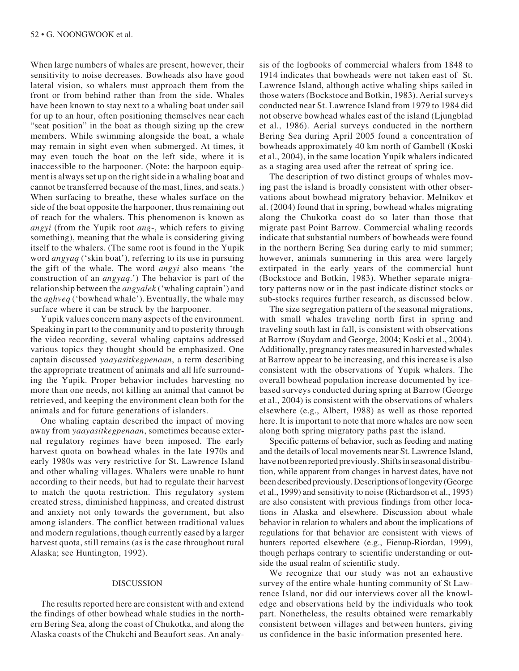When large numbers of whales are present, however, their sensitivity to noise decreases. Bowheads also have good lateral vision, so whalers must approach them from the front or from behind rather than from the side. Whales have been known to stay next to a whaling boat under sail for up to an hour, often positioning themselves near each "seat position" in the boat as though sizing up the crew members. While swimming alongside the boat, a whale may remain in sight even when submerged. At times, it may even touch the boat on the left side, where it is inaccessible to the harpooner. (Note: the harpoon equipment is always set up on the right side in a whaling boat and cannot be transferred because of the mast, lines, and seats.) When surfacing to breathe, these whales surface on the side of the boat opposite the harpooner, thus remaining out of reach for the whalers. This phenomenon is known as *angyi* (from the Yupik root *ang*-, which refers to giving something), meaning that the whale is considering giving itself to the whalers. (The same root is found in the Yupik word *angyaq* ('skin boat'), referring to its use in pursuing the gift of the whale. The word *angyi* also means 'the construction of an *angyaq*.') The behavior is part of the relationship between the *angyalek* ('whaling captain') and the *aghveq* ('bowhead whale'). Eventually, the whale may surface where it can be struck by the harpooner.

Yupik values concern many aspects of the environment. Speaking in part to the community and to posterity through the video recording, several whaling captains addressed various topics they thought should be emphasized. One captain discussed *yaayasitkegpenaan*, a term describing the appropriate treatment of animals and all life surrounding the Yupik. Proper behavior includes harvesting no more than one needs, not killing an animal that cannot be retrieved, and keeping the environment clean both for the animals and for future generations of islanders.

One whaling captain described the impact of moving away from *yaayasitkegpenaan*, sometimes because external regulatory regimes have been imposed. The early harvest quota on bowhead whales in the late 1970s and early 1980s was very restrictive for St. Lawrence Island and other whaling villages. Whalers were unable to hunt according to their needs, but had to regulate their harvest to match the quota restriction. This regulatory system created stress, diminished happiness, and created distrust and anxiety not only towards the government, but also among islanders. The conflict between traditional values and modern regulations, though currently eased by a larger harvest quota, still remains (as is the case throughout rural Alaska; see Huntington, 1992).

#### DISCUSSION

The results reported here are consistent with and extend the findings of other bowhead whale studies in the northern Bering Sea, along the coast of Chukotka, and along the Alaska coasts of the Chukchi and Beaufort seas. An analy-

sis of the logbooks of commercial whalers from 1848 to 1914 indicates that bowheads were not taken east of St. Lawrence Island, although active whaling ships sailed in those waters (Bockstoce and Botkin, 1983). Aerial surveys conducted near St. Lawrence Island from 1979 to 1984 did not observe bowhead whales east of the island (Ljungblad et al., 1986). Aerial surveys conducted in the northern Bering Sea during April 2005 found a concentration of bowheads approximately 40 km north of Gambell (Koski et al., 2004), in the same location Yupik whalers indicated as a staging area used after the retreat of spring ice.

The description of two distinct groups of whales moving past the island is broadly consistent with other observations about bowhead migratory behavior. Melnikov et al. (2004) found that in spring, bowhead whales migrating along the Chukotka coast do so later than those that migrate past Point Barrow. Commercial whaling records indicate that substantial numbers of bowheads were found in the northern Bering Sea during early to mid summer; however, animals summering in this area were largely extirpated in the early years of the commercial hunt (Bockstoce and Botkin, 1983). Whether separate migratory patterns now or in the past indicate distinct stocks or sub-stocks requires further research, as discussed below.

The size segregation pattern of the seasonal migrations, with small whales traveling north first in spring and traveling south last in fall, is consistent with observations at Barrow (Suydam and George, 2004; Koski et al., 2004). Additionally, pregnancy rates measured in harvested whales at Barrow appear to be increasing, and this increase is also consistent with the observations of Yupik whalers. The overall bowhead population increase documented by icebased surveys conducted during spring at Barrow (George et al., 2004) is consistent with the observations of whalers elsewhere (e.g., Albert, 1988) as well as those reported here. It is important to note that more whales are now seen along both spring migratory paths past the island.

Specific patterns of behavior, such as feeding and mating and the details of local movements near St. Lawrence Island, have not been reported previously. Shifts in seasonal distribution, while apparent from changes in harvest dates, have not been described previously. Descriptions of longevity (George et al., 1999) and sensitivity to noise (Richardson et al., 1995) are also consistent with previous findings from other locations in Alaska and elsewhere. Discussion about whale behavior in relation to whalers and about the implications of regulations for that behavior are consistent with views of hunters reported elsewhere (e.g., Fienup-Riordan, 1999), though perhaps contrary to scientific understanding or outside the usual realm of scientific study.

We recognize that our study was not an exhaustive survey of the entire whale-hunting community of St Lawrence Island, nor did our interviews cover all the knowledge and observations held by the individuals who took part. Nonetheless, the results obtained were remarkably consistent between villages and between hunters, giving us confidence in the basic information presented here.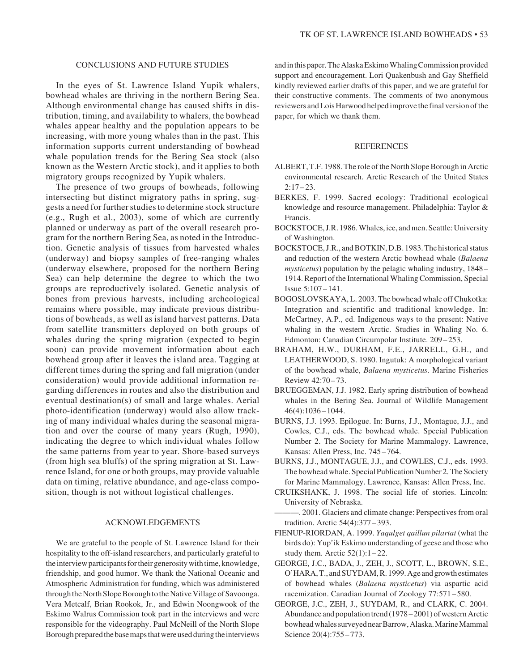# CONCLUSIONS AND FUTURE STUDIES

In the eyes of St. Lawrence Island Yupik whalers, bowhead whales are thriving in the northern Bering Sea. Although environmental change has caused shifts in distribution, timing, and availability to whalers, the bowhead whales appear healthy and the population appears to be increasing, with more young whales than in the past. This information supports current understanding of bowhead whale population trends for the Bering Sea stock (also known as the Western Arctic stock), and it applies to both migratory groups recognized by Yupik whalers.

The presence of two groups of bowheads, following intersecting but distinct migratory paths in spring, suggests a need for further studies to determine stock structure (e.g., Rugh et al., 2003), some of which are currently planned or underway as part of the overall research program for the northern Bering Sea, as noted in the Introduction. Genetic analysis of tissues from harvested whales (underway) and biopsy samples of free-ranging whales (underway elsewhere, proposed for the northern Bering Sea) can help determine the degree to which the two groups are reproductively isolated. Genetic analysis of bones from previous harvests, including archeological remains where possible, may indicate previous distributions of bowheads, as well as island harvest patterns. Data from satellite transmitters deployed on both groups of whales during the spring migration (expected to begin soon) can provide movement information about each bowhead group after it leaves the island area. Tagging at different times during the spring and fall migration (under consideration) would provide additional information regarding differences in routes and also the distribution and eventual destination(s) of small and large whales. Aerial photo-identification (underway) would also allow tracking of many individual whales during the seasonal migration and over the course of many years (Rugh, 1990), indicating the degree to which individual whales follow the same patterns from year to year. Shore-based surveys (from high sea bluffs) of the spring migration at St. Lawrence Island, for one or both groups, may provide valuable data on timing, relative abundance, and age-class composition, though is not without logistical challenges.

## ACKNOWLEDGEMENTS

We are grateful to the people of St. Lawrence Island for their hospitality to the off-island researchers, and particularly grateful to the interview participants for their generosity with time, knowledge, friendship, and good humor. We thank the National Oceanic and Atmospheric Administration for funding, which was administered through the North Slope Borough to the Native Village of Savoonga. Vera Metcalf, Brian Rookok, Jr., and Edwin Noongwook of the Eskimo Walrus Commission took part in the interviews and were responsible for the videography. Paul McNeill of the North Slope Borough prepared the base maps that were used during the interviews and in this paper. The Alaska Eskimo Whaling Commission provided support and encouragement. Lori Quakenbush and Gay Sheffield kindly reviewed earlier drafts of this paper, and we are grateful for their constructive comments. The comments of two anonymous reviewers and Lois Harwood helped improve the final version of the paper, for which we thank them.

## REFERENCES

- ALBERT, T.F. 1988. The role of the North Slope Borough in Arctic environmental research. Arctic Research of the United States  $2:17 - 23.$
- BERKES, F. 1999. Sacred ecology: Traditional ecological knowledge and resource management. Philadelphia: Taylor & Francis.
- BOCKSTOCE, J.R. 1986. Whales, ice, and men. Seattle: University of Washington.
- BOCKSTOCE, J.R., and BOTKIN, D.B. 1983. The historical status and reduction of the western Arctic bowhead whale (*Balaena mysticetus*) population by the pelagic whaling industry, 1848– 1914. Report of the International Whaling Commission, Special Issue 5:107–141.
- BOGOSLOVSKAYA, L. 2003. The bowhead whale off Chukotka: Integration and scientific and traditional knowledge. In: McCartney, A.P., ed. Indigenous ways to the present: Native whaling in the western Arctic. Studies in Whaling No. 6. Edmonton: Canadian Circumpolar Institute. 209 –253.
- BRAHAM, H.W., DURHAM, F.E., JARRELL, G.H., and LEATHERWOOD, S. 1980. Ingutuk: A morphological variant of the bowhead whale, *Balaena mysticetus*. Marine Fisheries Review 42:70 – 73.
- BRUEGGEMAN, J.J. 1982. Early spring distribution of bowhead whales in the Bering Sea. Journal of Wildlife Management 46(4):1036–1044.
- BURNS, J.J. 1993. Epilogue. In: Burns, J.J., Montague, J.J., and Cowles, C.J., eds. The bowhead whale. Special Publication Number 2. The Society for Marine Mammalogy. Lawrence, Kansas: Allen Press, Inc. 745–764.
- BURNS, J.J., MONTAGUE, J.J., and COWLES, C.J., eds. 1993. The bowhead whale. Special Publication Number 2. The Society for Marine Mammalogy. Lawrence, Kansas: Allen Press, Inc.
- CRUIKSHANK, J. 1998. The social life of stories. Lincoln: University of Nebraska.
- ———. 2001. Glaciers and climate change: Perspectives from oral tradition. Arctic 54(4):377 –393.
- FIENUP-RIORDAN, A. 1999. *Yaqulget qaillun pilartat* (what the birds do): Yup'ik Eskimo understanding of geese and those who study them. Arctic  $52(1):1-22$ .
- GEORGE, J.C., BADA, J., ZEH, J., SCOTT, L., BROWN, S.E., O'HARA, T., and SUYDAM, R. 1999. Age and growth estimates of bowhead whales (*Balaena mysticetus*) via aspartic acid racemization. Canadian Journal of Zoology 77:571 –580.
- GEORGE, J.C., ZEH, J., SUYDAM, R., and CLARK, C. 2004. Abundance and population trend (1978–2001) of western Arctic bowhead whales surveyed near Barrow, Alaska. Marine Mammal Science 20(4):755-773.